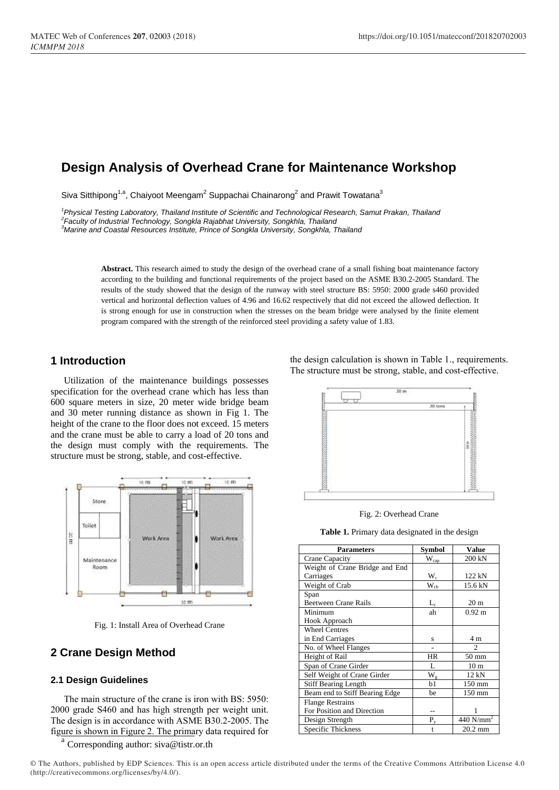# **Design Analysis of Overhead Crane for Maintenance Workshop**

Siva Sitthipong<sup>1,a</sup>, Chaiyoot Meengam<sup>2</sup> Suppachai Chainarong<sup>2</sup> and Prawit Towatana<sup>3</sup>

<sup>1</sup> Physical Testing Laboratory, Thailand Institute of Scientific and Technological Research, Samut Prakan, Thailand *2 Faculty of Industrial Technology, Songkla Rajabhat University, Songkhla, Thailand*

*<sup>3</sup>Marine and Coastal Resources Institute, Prince of Songkla University, Songkhla, Thailand*

**Abstract.** This research aimed to study the design of the overhead crane of a small fishing boat maintenance factory according to the building and functional requirements of the project based on the ASME B30.2-2005 Standard. The results of the study showed that the design of the runway with steel structure BS: 5950: 2000 grade s460 provided vertical and horizontal deflection values of 4.96 and 16.62 respectively that did not exceed the allowed deflection. It is strong enough for use in construction when the stresses on the beam bridge were analysed by the finite element program compared with the strength of the reinforced steel providing a safety value of 1.83.

# **1 Introduction**

Utilization of the maintenance buildings possesses specification for the overhead crane which has less than 600 square meters in size, 20 meter wide bridge beam and 30 meter running distance as shown in Fig 1. The height of the crane to the floor does not exceed. 15 meters and the crane must be able to carry a load of 20 tons and the design must comply with the requirements. The structure must be strong, stable, and cost-effective.



Fig. 1: Install Area of Overhead Crane

# **2 Crane Design Method**

#### **2.1 Design Guidelines**

The main structure of the crane is iron with BS: 5950: 2000 grade S460 and has high strength per weight unit. The design is in accordance with ASME B30.2-2005. The figure is shown in Figure 2. The primary data required for

a Corresponding author: siva@tistr.or.th the design calculation is shown in Table 1., requirements. The structure must be strong, stable, and cost-effective.



Fig. 2: Overhead Crane

**Table 1.** Primary data designated in the design

| <b>Parameters</b>              | <b>Symbol</b>               | Value                   |  |  |
|--------------------------------|-----------------------------|-------------------------|--|--|
| Crane Capacity                 | $\mathbf{W}_{\mathrm{cap}}$ | 200 kN                  |  |  |
| Weight of Crane Bridge and End |                             |                         |  |  |
| Carriages                      | $W_c$                       | 122 kN                  |  |  |
| Weight of Crab                 | $\rm W_{cb}$                | 15.6 kN                 |  |  |
| Span                           |                             |                         |  |  |
| <b>Beetween Crane Rails</b>    | $L_{\rm c}$                 | 20 <sub>m</sub>         |  |  |
| Minimum                        | ah                          | $0.92 \text{ m}$        |  |  |
| Hook Approach                  |                             |                         |  |  |
| <b>Wheel Centres</b>           |                             |                         |  |  |
| in End Carriages               | S                           | 4 <sub>m</sub>          |  |  |
| No. of Wheel Flanges           |                             | C                       |  |  |
| Height of Rail                 | <b>HR</b>                   | $50 \text{ mm}$         |  |  |
| Span of Crane Girder           | L                           | 10 <sub>m</sub>         |  |  |
| Self Weight of Crane Girder    | $W_{\sigma}$                | 12 kN                   |  |  |
| <b>Stiff Bearing Length</b>    | b1                          | 150 mm                  |  |  |
| Beam end to Stiff Bearing Edge | be                          | $150 \text{ mm}$        |  |  |
| <b>Flange Restrains</b>        |                             |                         |  |  |
| For Position and Direction     |                             |                         |  |  |
| Design Strength                | $P_v$                       | $440$ N/mm <sup>2</sup> |  |  |
| Specific Thickness             | t                           | $20.2$ mm               |  |  |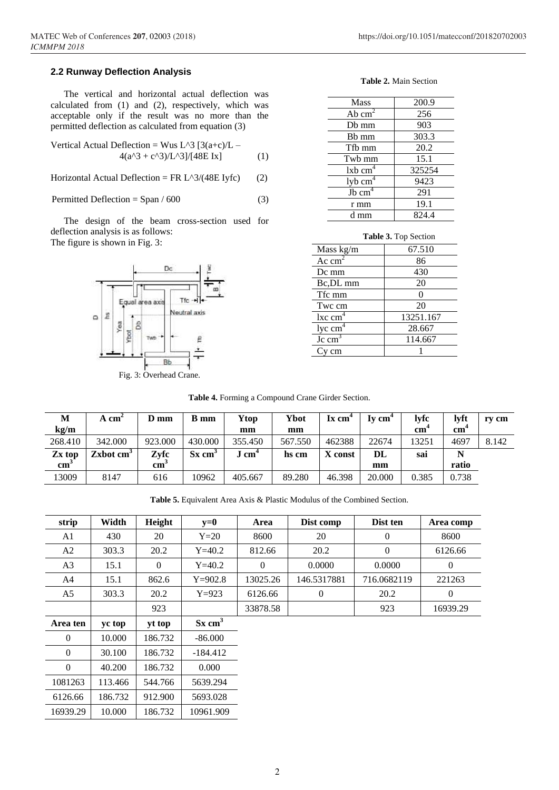#### **2.2 Runway Deflection Analysis**

The vertical and horizontal actual deflection was calculated from (1) and (2), respectively, which was acceptable only if the result was no more than the permitted deflection as calculated from equation (3)

Vertical Actual Deflection = Wus L^3 [3(a+c)/L – 4(a^3 + c^3)/L^3]/[48E Ix] (1)

Horizontal Actual Deflection = FR  $L^3/(48E$  Iyfc) (2)

Permitted Deflection =  $\text{Span}/600$  (3)

The design of the beam cross-section used for deflection analysis is as follows: The figure is shown in Fig. 3:



#### **Table 2.** Main Section

 $\overline{a}$  $\overline{a}$ 

| Mass                  | 200.9  |
|-----------------------|--------|
| Ab $cm2$              | 256    |
| Db mm                 | 903    |
| B <sub>b</sub> mm     | 303.3  |
| Tfb mm                | 20.2   |
| Twb mm                | 15.1   |
| $lxb$ cm <sup>4</sup> | 325254 |
| $1$ yb $cm4$          | 9423   |
| $Jb$ cm <sup>4</sup>  | 291    |
| r mm                  | 19.1   |
| d mm                  | 824.4  |

| Table 3. Top Section       |           |  |  |  |  |
|----------------------------|-----------|--|--|--|--|
| Mass kg/m                  | 67.510    |  |  |  |  |
| Ac cm                      | 86        |  |  |  |  |
| Dc mm                      | 430       |  |  |  |  |
| Bc, DL mm                  | 20        |  |  |  |  |
| Tfc mm                     |           |  |  |  |  |
| Twc cm                     | 20        |  |  |  |  |
| $\operatorname{lxc\,cm}^4$ | 13251.167 |  |  |  |  |
| $1yc$ cm <sup>4</sup>      | 28.667    |  |  |  |  |
| $\text{Jc cm}^3$           | 114.667   |  |  |  |  |
|                            |           |  |  |  |  |

**Table 4.** Forming a Compound Crane Girder Section.

| M             | $A \text{ cm}^2$      | $D$ mm          | B mm                 | Ytop             | Ybot    | Ix cm <sup>+</sup> | Iv cm <sup>4</sup> | <b>lyfc</b>                           | lvft                                 | rv cm |
|---------------|-----------------------|-----------------|----------------------|------------------|---------|--------------------|--------------------|---------------------------------------|--------------------------------------|-------|
| kg/m          |                       |                 |                      | mm               | mm      |                    |                    | $cm$ <sup><math>\dot{\ }</math></sup> | $cm$ <sup><math>\dot{ }</math></sup> |       |
| 268.410       | 342.000               | 923.000         | 430.000              | 355.450          | 567.550 | 462388             | 22674              | 13251                                 | 4697                                 | 8.142 |
| Zx top        | Zxbot cm <sup>3</sup> | Zyfc            | $Sx$ cm <sup>3</sup> | $J \text{ cm}^4$ | hs cm   | X const            | DL                 | sai                                   | N                                    |       |
| $\text{cm}^3$ |                       | cm <sub>1</sub> |                      |                  |         |                    | mm                 |                                       | ratio                                |       |
| 13009         | 8147                  | 616             | 10962                | 405.667          | 89.280  | 46.398             | 20.000             | 0.385                                 | 0.738                                |       |

**Table 5.** Equivalent Area Axis & Plastic Modulus of the Combined Section.

| strip          | Width   | Height   | $y=0$                | Area     | Dist comp      | Dist ten     | Area comp |
|----------------|---------|----------|----------------------|----------|----------------|--------------|-----------|
| A1             | 430     | 20       | $Y=20$               | 8600     | 20             | $\theta$     | 8600      |
| A2             | 303.3   | 20.2     | $Y=40.2$             | 812.66   | 20.2           | $\mathbf{0}$ | 6126.66   |
| A <sub>3</sub> | 15.1    | $\Omega$ | $Y = 40.2$           | $\Omega$ | 0.0000         | 0.0000       | $\Omega$  |
| A4             | 15.1    | 862.6    | $Y=902.8$            | 13025.26 | 146.5317881    | 716.0682119  | 221263    |
| A5             | 303.3   | 20.2     | $Y=923$              | 6126.66  | $\overline{0}$ | 20.2         | $\theta$  |
|                |         | 923      |                      | 33878.58 |                | 923          | 16939.29  |
| Area ten       | yc top  | yt top   | $Sx$ cm <sup>3</sup> |          |                |              |           |
| $\Omega$       | 10.000  | 186.732  | $-86.000$            |          |                |              |           |
| $\Omega$       | 30.100  | 186.732  | $-184.412$           |          |                |              |           |
| $\Omega$       | 40.200  | 186.732  | 0.000                |          |                |              |           |
| 1081263        | 113.466 | 544.766  | 5639.294             |          |                |              |           |
| 6126.66        | 186.732 | 912.900  | 5693.028             |          |                |              |           |
| 16939.29       | 10.000  | 186.732  | 10961.909            |          |                |              |           |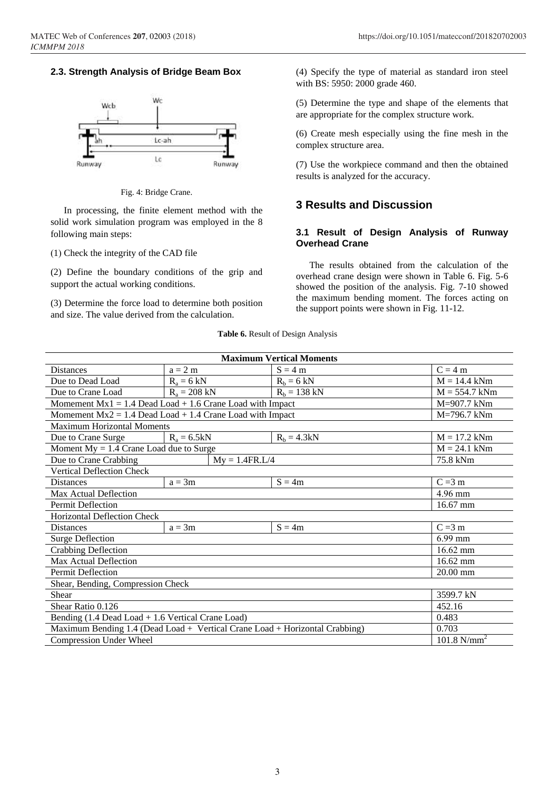### **2.3. Strength Analysis of Bridge Beam Box**



Fig. 4: Bridge Crane.

In processing, the finite element method with the solid work simulation program was employed in the 8 following main steps:

(1) Check the integrity of the CAD file

(2) Define the boundary conditions of the grip and support the actual working conditions.

(3) Determine the force load to determine both position and size. The value derived from the calculation.

(4) Specify the type of material as standard iron steel with BS: 5950: 2000 grade 460.

(5) Determine the type and shape of the elements that are appropriate for the complex structure work.

(6) Create mesh especially using the fine mesh in the complex structure area.

(7) Use the workpiece command and then the obtained results is analyzed for the accuracy.

# **3 Results and Discussion**

#### **3.1 Result of Design Analysis of Runway Overhead Crane**

The results obtained from the calculation of the overhead crane design were shown in Table 6. Fig. 5-6 showed the position of the analysis. Fig. 7-10 showed the maximum bending moment. The forces acting on the support points were shown in Fig. 11-12.

**Table 6.** Result of Design Analysis

| <b>Maximum Vertical Moments</b>                                             |                  |                |                    |  |  |
|-----------------------------------------------------------------------------|------------------|----------------|--------------------|--|--|
| <b>Distances</b>                                                            | $a = 2 m$        | $S = 4 m$      | $C = 4 m$          |  |  |
| Due to Dead Load                                                            | $R_a = 6$ kN     | $R_b = 6$ kN   | $M = 14.4$ kNm     |  |  |
| Due to Crane Load                                                           | $R_a = 208$ kN   | $R_b = 138$ kN | $M = 554.7$ kNm    |  |  |
| Momement $Mx1 = 1.4$ Dead Load + 1.6 Crane Load with Impact                 |                  | M=907.7 kNm    |                    |  |  |
| Momement $Mx2 = 1.4$ Dead Load + 1.4 Crane Load with Impact                 |                  |                | M=796.7 kNm        |  |  |
| Maximum Horizontal Moments                                                  |                  |                |                    |  |  |
| Due to Crane Surge                                                          | $R_a = 6.5kN$    | $R_b = 4.3kN$  | $M = 17.2$ kNm     |  |  |
| Moment $My = 1.4$ Crane Load due to Surge                                   |                  |                | $M = 24.1$ kNm     |  |  |
| Due to Crane Crabbing                                                       | $My = 1.4FR.L/4$ |                | 75.8 kNm           |  |  |
| <b>Vertical Deflection Check</b>                                            |                  |                |                    |  |  |
| <b>Distances</b>                                                            | $a = 3m$         | $S = 4m$       | $C = 3 m$          |  |  |
| Max Actual Deflection                                                       |                  |                | 4.96 mm            |  |  |
| Permit Deflection                                                           |                  | 16.67 mm       |                    |  |  |
| <b>Horizontal Deflection Check</b>                                          |                  |                |                    |  |  |
| <b>Distances</b>                                                            | $a = 3m$         | $S = 4m$       | $C = 3 m$          |  |  |
| <b>Surge Deflection</b>                                                     |                  |                | $6.99$ mm          |  |  |
| Crabbing Deflection                                                         |                  |                | $16.62$ mm         |  |  |
| Max Actual Deflection                                                       |                  |                | $16.62 \text{ mm}$ |  |  |
| Permit Deflection                                                           | 20.00 mm         |                |                    |  |  |
| Shear, Bending, Compression Check                                           |                  |                |                    |  |  |
| Shear                                                                       | 3599.7 kN        |                |                    |  |  |
| Shear Ratio 0.126                                                           |                  | 452.16         |                    |  |  |
| Bending (1.4 Dead Load + 1.6 Vertical Crane Load)                           | 0.483            |                |                    |  |  |
| Maximum Bending 1.4 (Dead Load + Vertical Crane Load + Horizontal Crabbing) | 0.703            |                |                    |  |  |
| <b>Compression Under Wheel</b>                                              | 101.8 $N/mm^2$   |                |                    |  |  |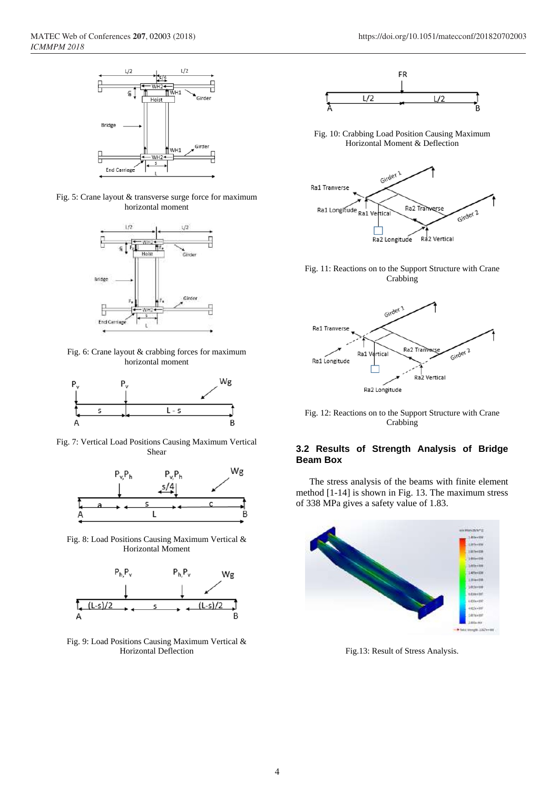

Fig. 5: Crane layout & transverse surge force for maximum horizontal moment



Fig. 6: Crane layout & crabbing forces for maximum horizontal moment



Fig. 7: Vertical Load Positions Causing Maximum Vertical Shear



Fig. 8: Load Positions Causing Maximum Vertical & Horizontal Moment



Fig. 9: Load Positions Causing Maximum Vertical & Horizontal Deflection



Fig. 10: Crabbing Load Position Causing Maximum Horizontal Moment & Deflection



Fig. 11: Reactions on to the Support Structure with Crane Crabbing



Fig. 12: Reactions on to the Support Structure with Crane Crabbing

### **3.2 Results of Strength Analysis of Bridge Beam Box**

The stress analysis of the beams with finite element method [1-14] is shown in Fig. 13. The maximum stress of 338 MPa gives a safety value of 1.83.



Fig.13: Result of Stress Analysis.